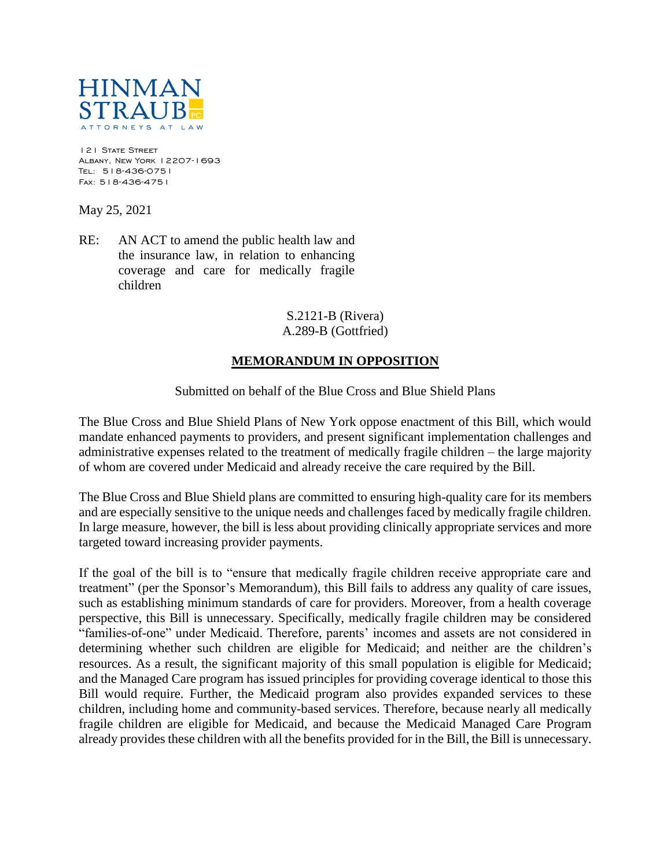

121 STATE STREET Albany, New York 12207-1693 Tel: 518-436-0751 Fax: 518-436-4751

May 25, 2021

RE: AN ACT to amend the public health law and the insurance law, in relation to enhancing coverage and care for medically fragile children

## S.2121-B (Rivera) A.289-B (Gottfried)

## **MEMORANDUM IN OPPOSITION**

Submitted on behalf of the Blue Cross and Blue Shield Plans

The Blue Cross and Blue Shield Plans of New York oppose enactment of this Bill, which would mandate enhanced payments to providers, and present significant implementation challenges and administrative expenses related to the treatment of medically fragile children – the large majority of whom are covered under Medicaid and already receive the care required by the Bill.

The Blue Cross and Blue Shield plans are committed to ensuring high-quality care for its members and are especially sensitive to the unique needs and challenges faced by medically fragile children. In large measure, however, the bill is less about providing clinically appropriate services and more targeted toward increasing provider payments.

If the goal of the bill is to "ensure that medically fragile children receive appropriate care and treatment" (per the Sponsor's Memorandum), this Bill fails to address any quality of care issues, such as establishing minimum standards of care for providers. Moreover, from a health coverage perspective, this Bill is unnecessary. Specifically, medically fragile children may be considered "families-of-one" under Medicaid. Therefore, parents' incomes and assets are not considered in determining whether such children are eligible for Medicaid; and neither are the children's resources. As a result, the significant majority of this small population is eligible for Medicaid; and the Managed Care program has issued principles for providing coverage identical to those this Bill would require. Further, the Medicaid program also provides expanded services to these children, including home and community-based services. Therefore, because nearly all medically fragile children are eligible for Medicaid, and because the Medicaid Managed Care Program already provides these children with all the benefits provided for in the Bill, the Bill is unnecessary.